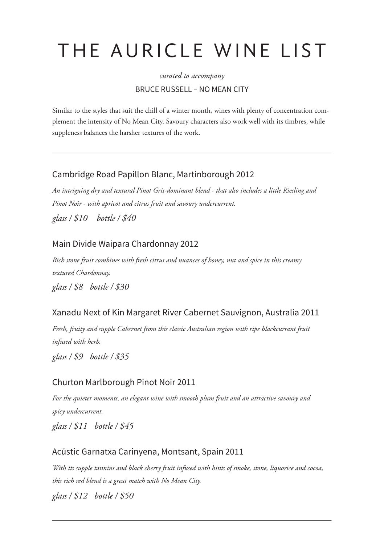# THE AURICLE WINE LIST

# *curated to accompany* BRUCE RUSSELL – NO MEAN CITY

Similar to the styles that suit the chill of a winter month, wines with plenty of concentration complement the intensity of No Mean City. Savoury characters also work well with its timbres, while suppleness balances the harsher textures of the work.

# Cambridge Road Papillon Blanc, Martinborough 2012

*An intriguing dry and textural Pinot Gris-dominant blend - that also includes a little Riesling and Pinot Noir - with apricot and citrus fruit and savoury undercurrent. glass / \$10 bottle / \$40*

#### Main Divide Waipara Chardonnay 2012

*Rich stone fruit combines with fresh citrus and nuances of honey, nut and spice in this creamy textured Chardonnay. glass / \$8 bottle / \$30*

# Xanadu Next of Kin Margaret River Cabernet Sauvignon, Australia 2011

*Fresh, fruity and supple Cabernet from this classic Australian region with ripe blackcurrant fruit infused with herb.*

*glass / \$9 bottle / \$35*

#### Churton Marlborough Pinot Noir 2011

*For the quieter moments, an elegant wine with smooth plum fruit and an attractive savoury and spicy undercurrent.*

*glass / \$11 bottle / \$45*

# Acústic Garnatxa Carinyena, Montsant, Spain 2011

*With its supple tannins and black cherry fruit infused with hints of smoke, stone, liquorice and cocoa, this rich red blend is a great match with No Mean City. glass / \$12 bottle / \$50*